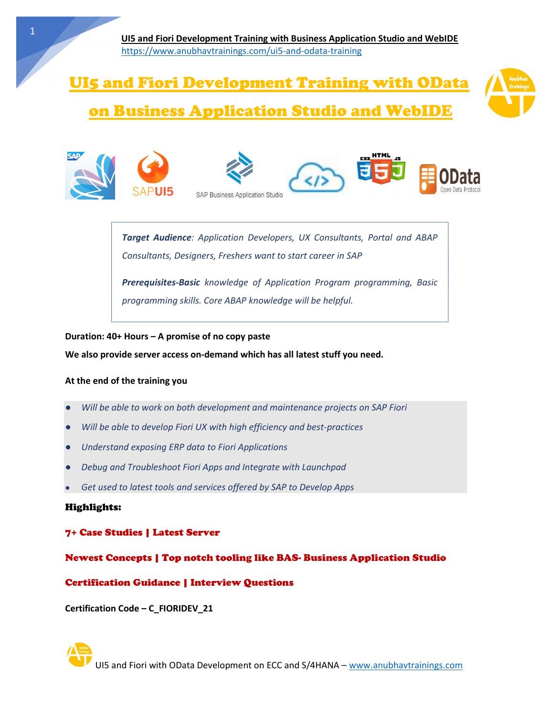# UI5 and Fiori Development Training with OData



# on Business Application Studio and WebIDE











Target Audience: Application Developers, UX Consultants, Portal and ABAP Consultants, Designers, Freshers want to start career in SAP

Prerequisites-Basic knowledge of Application Program programming, Basic programming skills. Core ABAP knowledge will be helpful.

Duration: 40+ Hours – A promise of no copy paste

We also provide server access on-demand which has all latest stuff you need.

#### At the end of the training you

- Will be able to work on both development and maintenance projects on SAP Fiori
- Will be able to develop Fiori UX with high efficiency and best-practices
- Understand exposing ERP data to Fiori Applications
- **Debug and Troubleshoot Fiori Apps and Integrate with Launchpad**
- Get used to latest tools and services offered by SAP to Develop Apps

#### Highlights:

#### 7+ Case Studies | Latest Server

#### Newest Concepts | Top notch tooling like BAS- Business Application Studio

#### Certification Guidance | Interview Questions

Certification Code – C\_FIORIDEV\_21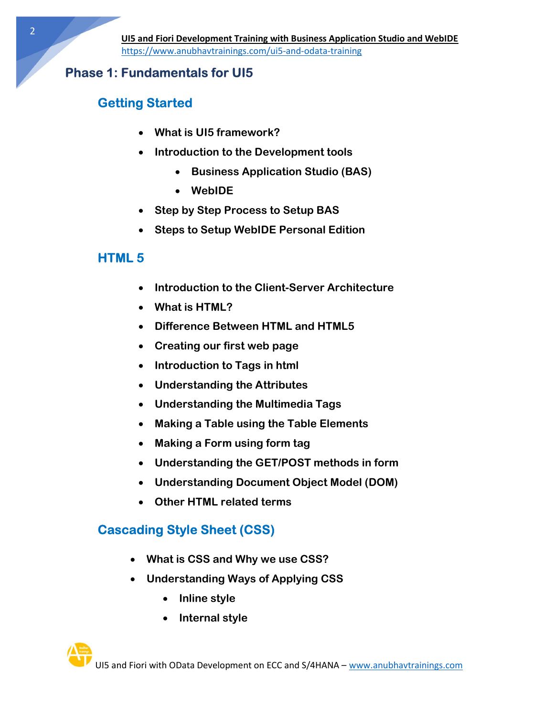### Phase 1: Fundamentals for UI5

# Getting Started

- What is UI5 framework?
- Introduction to the Development tools
	- **Business Application Studio (BAS)**
	- WebIDE
- Step by Step Process to Setup BAS
- Steps to Setup WebIDE Personal Edition

# HTML 5

- Introduction to the Client-Server Architecture
- What is HTML?
- Difference Between HTML and HTML5
- Creating our first web page
- Introduction to Tags in html
- Understanding the Attributes
- Understanding the Multimedia Tags
- Making a Table using the Table Elements
- Making a Form using form tag
- Understanding the GET/POST methods in form
- Understanding Document Object Model (DOM)
- Other HTML related terms

# Cascading Style Sheet (CSS)

- What is CSS and Why we use CSS?
- Understanding Ways of Applying CSS
	- Inline style
	- Internal style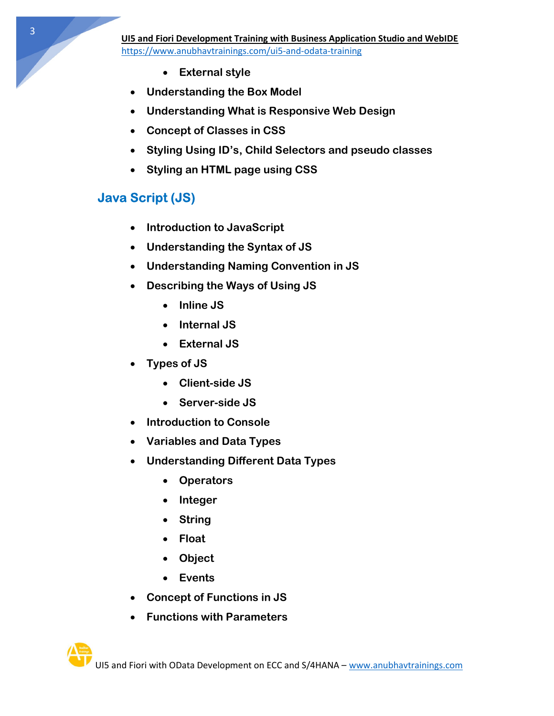3

- External style
- Understanding the Box Model
- Understanding What is Responsive Web Design
- Concept of Classes in CSS
- Styling Using ID's, Child Selectors and pseudo classes
- Styling an HTML page using CSS

### Java Script (JS)

- Introduction to JavaScript
- Understanding the Syntax of JS
- Understanding Naming Convention in JS
- Describing the Ways of Using JS
	- $\bullet$  Inline JS
	- Internal JS
	- External JS
- Types of JS
	- Client-side JS
	- Server-side JS
- Introduction to Console
- Variables and Data Types
- Understanding Different Data Types
	- Operators
	- Integer
	- String
	- Float
	- Object
	- Events
- Concept of Functions in JS
- Functions with Parameters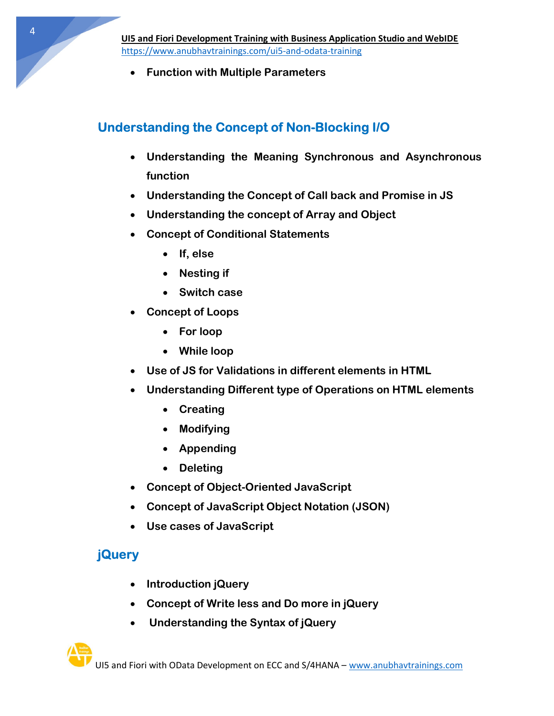Function with Multiple Parameters

### Understanding the Concept of Non-Blocking I/O

- Understanding the Meaning Synchronous and Asynchronous function
- Understanding the Concept of Call back and Promise in JS
- Understanding the concept of Array and Object
- Concept of Conditional Statements
	- If, else
	- Nesting if
	- Switch case
- Concept of Loops
	- For loop
	- While loop
- Use of JS for Validations in different elements in HTML
- Understanding Different type of Operations on HTML elements
	- Creating
	- Modifying
	- Appending
	- Deleting
- Concept of Object-Oriented JavaScript
- Concept of JavaScript Object Notation (JSON)
- Use cases of JavaScript

# **jQuery**

- Introduction jQuery
- Concept of Write less and Do more in jQuery
- Understanding the Syntax of jQuery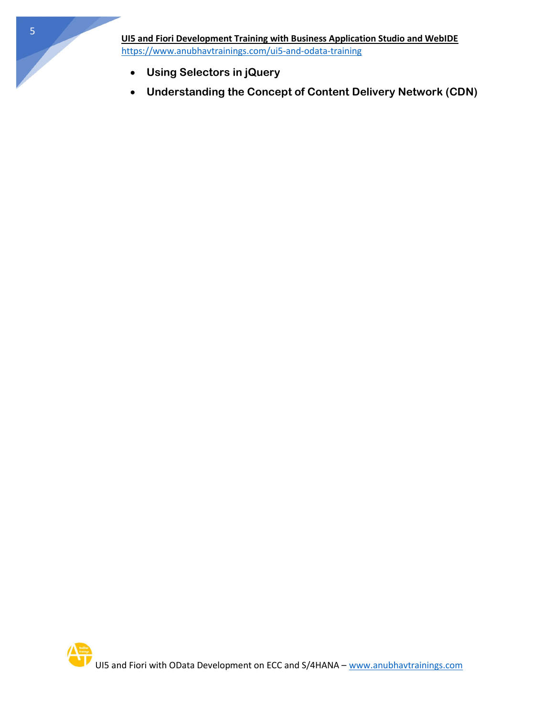- Using Selectors in jQuery
- Understanding the Concept of Content Delivery Network (CDN)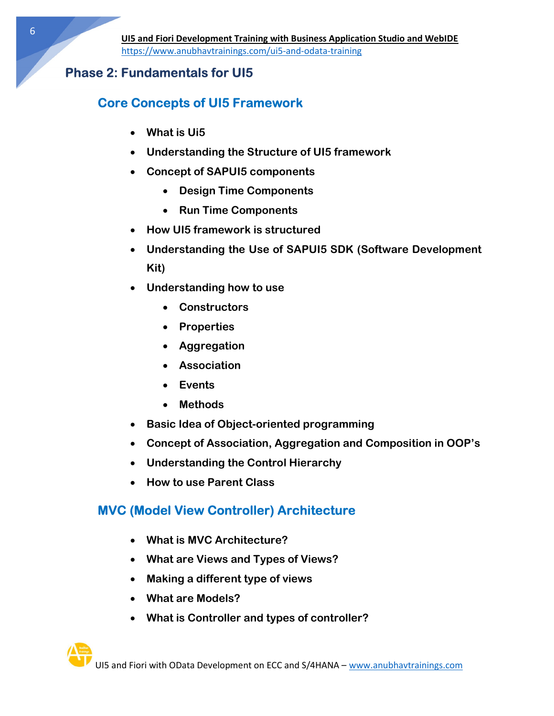#### Phase 2: Fundamentals for UI5

### Core Concepts of UI5 Framework

- What is Ui5
- Understanding the Structure of UI5 framework
- Concept of SAPUI5 components
	- Design Time Components
	- Run Time Components
- How UI5 framework is structured
- Understanding the Use of SAPUI5 SDK (Software Development Kit)
- Understanding how to use
	- Constructors
	- Properties
	- Aggregation
	- Association
	- Events
	- Methods
- Basic Idea of Object-oriented programming
- Concept of Association, Aggregation and Composition in OOP's
- Understanding the Control Hierarchy
- How to use Parent Class

### MVC (Model View Controller) Architecture

- What is MVC Architecture?
- What are Views and Types of Views?
- Making a different type of views
- What are Models?
- What is Controller and types of controller?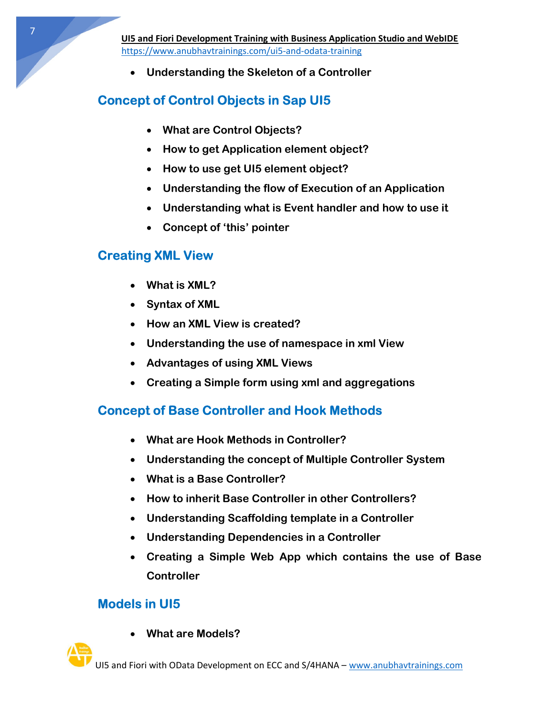Understanding the Skeleton of a Controller

# Concept of Control Objects in Sap UI5

- What are Control Objects?
- How to get Application element object?
- How to use get UI5 element object?
- Understanding the flow of Execution of an Application
- Understanding what is Event handler and how to use it
- Concept of 'this' pointer

### Creating XML View

- What is XML?
- Syntax of XML
- How an XML View is created?
- Understanding the use of namespace in xml View
- Advantages of using XML Views
- Creating a Simple form using xml and aggregations

# Concept of Base Controller and Hook Methods

- What are Hook Methods in Controller?
- Understanding the concept of Multiple Controller System
- What is a Base Controller?
- How to inherit Base Controller in other Controllers?
- Understanding Scaffolding template in a Controller
- Understanding Dependencies in a Controller
- Creating a Simple Web App which contains the use of Base **Controller**

### Models in UI5

What are Models?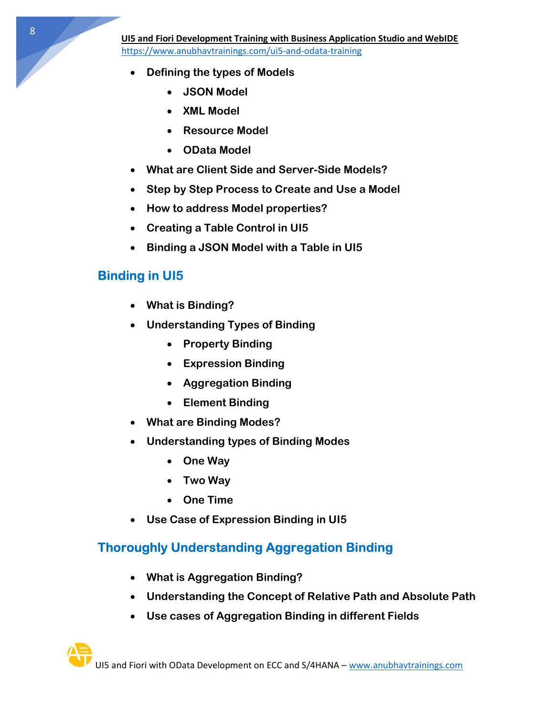- Defining the types of Models
	- JSON Model
	- XML Model
	- Resource Model
	- OData Model
- What are Client Side and Server-Side Models?
- Step by Step Process to Create and Use a Model
- How to address Model properties?
- Creating a Table Control in UI5
- Binding a JSON Model with a Table in UI5

### Binding in UI5

- What is Binding?
- Understanding Types of Binding
	- Property Binding
	- Expression Binding
	- Aggregation Binding
	- Element Binding
- What are Binding Modes?
- Understanding types of Binding Modes
	- One Way
	- Two Way
	- One Time
- Use Case of Expression Binding in UI5

# Thoroughly Understanding Aggregation Binding

- What is Aggregation Binding?
- Understanding the Concept of Relative Path and Absolute Path
- Use cases of Aggregation Binding in different Fields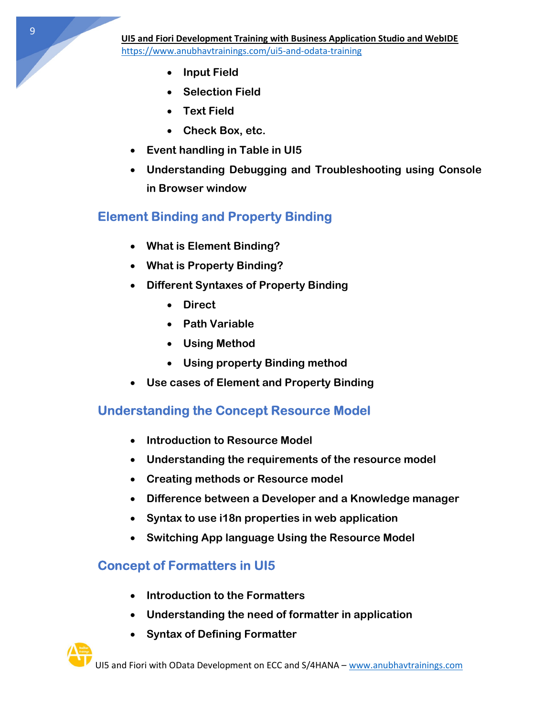- Input Field
- Selection Field
- Text Field
- Check Box, etc.
- Event handling in Table in UI5
- Understanding Debugging and Troubleshooting using Console in Browser window

# Element Binding and Property Binding

- What is Element Binding?
- What is Property Binding?
- Different Syntaxes of Property Binding
	- Direct
	- Path Variable
	- Using Method
	- Using property Binding method
- Use cases of Element and Property Binding

# Understanding the Concept Resource Model

- Introduction to Resource Model
- Understanding the requirements of the resource model
- Creating methods or Resource model
- Difference between a Developer and a Knowledge manager
- Syntax to use i18n properties in web application
- Switching App language Using the Resource Model

# Concept of Formatters in UI5

- Introduction to the Formatters
- Understanding the need of formatter in application
- Syntax of Defining Formatter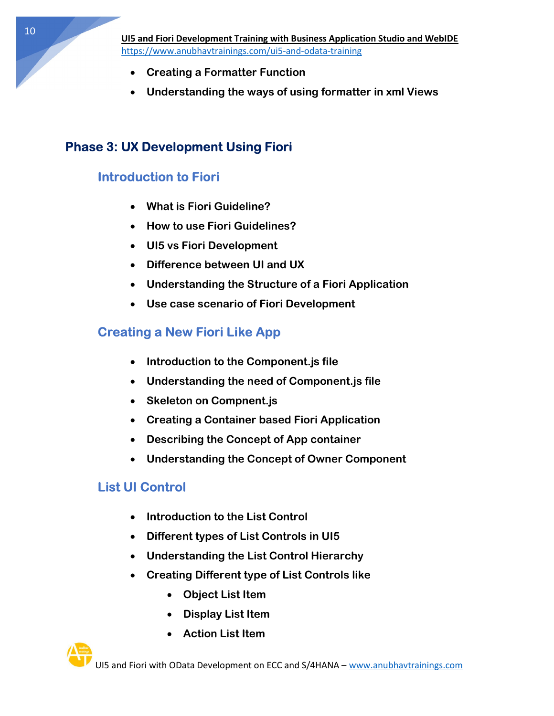- Creating a Formatter Function
- Understanding the ways of using formatter in xml Views

### Phase 3: UX Development Using Fiori

### Introduction to Fiori

- What is Fiori Guideline?
- How to use Fiori Guidelines?
- UI5 vs Fiori Development
- Difference between UI and UX
- Understanding the Structure of a Fiori Application
- Use case scenario of Fiori Development

### Creating a New Fiori Like App

- Introduction to the Component.js file
- Understanding the need of Component.js file
- Skeleton on Compnent.js
- Creating a Container based Fiori Application
- Describing the Concept of App container
- Understanding the Concept of Owner Component

### List UI Control

- Introduction to the List Control
- Different types of List Controls in UI5
- Understanding the List Control Hierarchy
- Creating Different type of List Controls like
	- Object List Item
	- Display List Item
	- Action List Item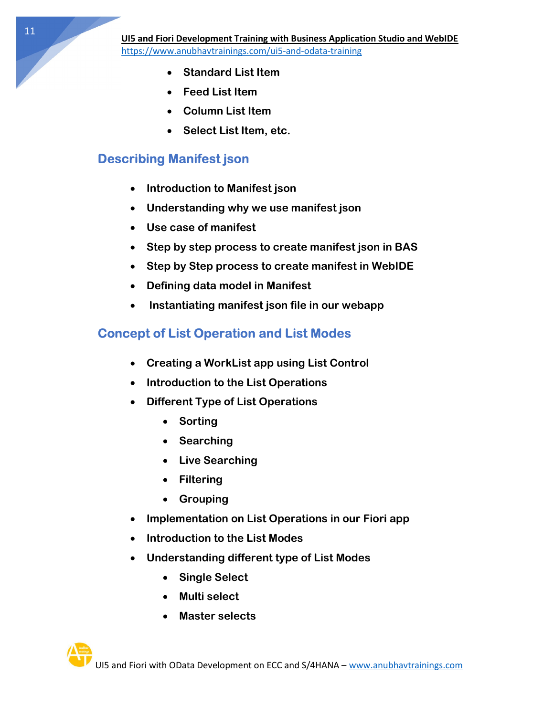- Standard List Item
- Feed List Item
- Column List Item
- Select List Item, etc.

### Describing Manifest json

- Introduction to Manifest json
- Understanding why we use manifest json
- Use case of manifest
- Step by step process to create manifest json in BAS
- Step by Step process to create manifest in WebIDE
- Defining data model in Manifest
- Instantiating manifest json file in our webapp

### Concept of List Operation and List Modes

- Creating a WorkList app using List Control
- Introduction to the List Operations
- Different Type of List Operations
	- Sorting
	- Searching
	- Live Searching
	- Filtering
	- Grouping
- Implementation on List Operations in our Fiori app
- Introduction to the List Modes
- Understanding different type of List Modes
	- Single Select
	- Multi select
	- Master selects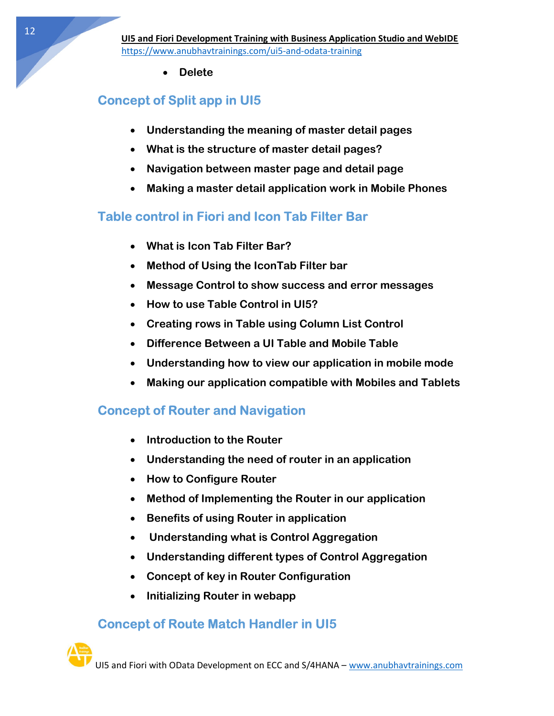Delete

# Concept of Split app in UI5

- Understanding the meaning of master detail pages
- What is the structure of master detail pages?
- Navigation between master page and detail page
- Making a master detail application work in Mobile Phones

# Table control in Fiori and Icon Tab Filter Bar

- What is Icon Tab Filter Bar?
- Method of Using the IconTab Filter bar
- Message Control to show success and error messages
- How to use Table Control in UI5?
- Creating rows in Table using Column List Control
- Difference Between a UI Table and Mobile Table
- Understanding how to view our application in mobile mode
- Making our application compatible with Mobiles and Tablets

### Concept of Router and Navigation

- Introduction to the Router
- Understanding the need of router in an application
- How to Configure Router
- Method of Implementing the Router in our application
- Benefits of using Router in application
- Understanding what is Control Aggregation
- Understanding different types of Control Aggregation
- Concept of key in Router Configuration
- Initializing Router in webapp

# Concept of Route Match Handler in UI5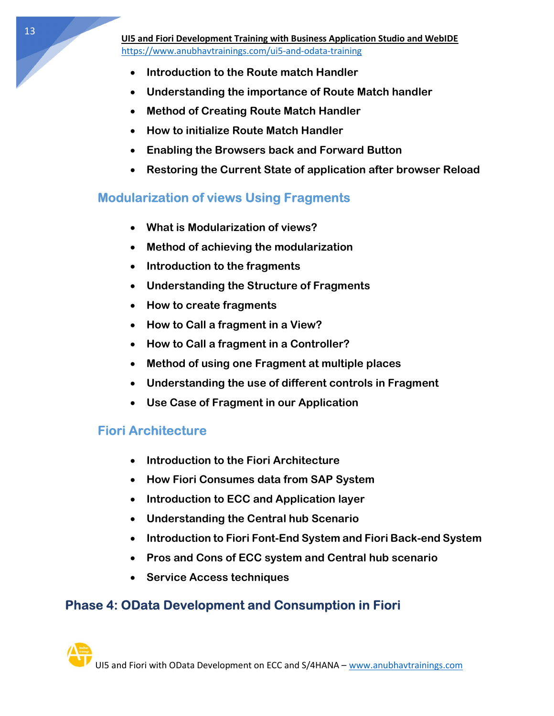- Introduction to the Route match Handler
- Understanding the importance of Route Match handler
- Method of Creating Route Match Handler
- How to initialize Route Match Handler
- Enabling the Browsers back and Forward Button
- Restoring the Current State of application after browser Reload

### Modularization of views Using Fragments

- What is Modularization of views?
- Method of achieving the modularization
- Introduction to the fragments
- Understanding the Structure of Fragments
- How to create fragments
- How to Call a fragment in a View?
- How to Call a fragment in a Controller?
- Method of using one Fragment at multiple places
- Understanding the use of different controls in Fragment
- Use Case of Fragment in our Application

### Fiori Architecture

- Introduction to the Fiori Architecture
- How Fiori Consumes data from SAP System
- Introduction to ECC and Application layer
- Understanding the Central hub Scenario
- Introduction to Fiori Font-End System and Fiori Back-end System
- Pros and Cons of ECC system and Central hub scenario
- Service Access techniques

### Phase 4: OData Development and Consumption in Fiori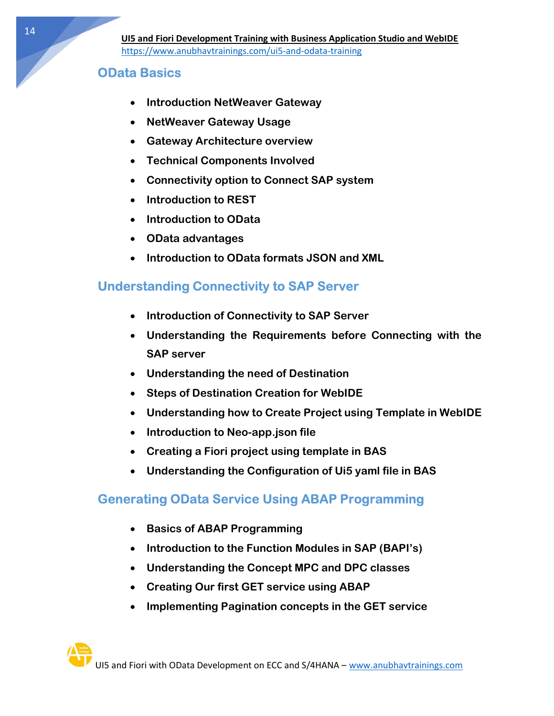### OData Basics

- Introduction NetWeaver Gateway
- NetWeaver Gateway Usage
- Gateway Architecture overview
- Technical Components Involved
- Connectivity option to Connect SAP system
- Introduction to REST
- Introduction to OData
- OData advantages
- Introduction to OData formats JSON and XML

### Understanding Connectivity to SAP Server

- Introduction of Connectivity to SAP Server
- Understanding the Requirements before Connecting with the SAP server
- Understanding the need of Destination
- Steps of Destination Creation for WebIDE
- Understanding how to Create Project using Template in WebIDE
- Introduction to Neo-app.json file
- Creating a Fiori project using template in BAS
- Understanding the Configuration of Ui5 yaml file in BAS

### Generating OData Service Using ABAP Programming

- Basics of ABAP Programming
- Introduction to the Function Modules in SAP (BAPI's)
- Understanding the Concept MPC and DPC classes
- Creating Our first GET service using ABAP
- Implementing Pagination concepts in the GET service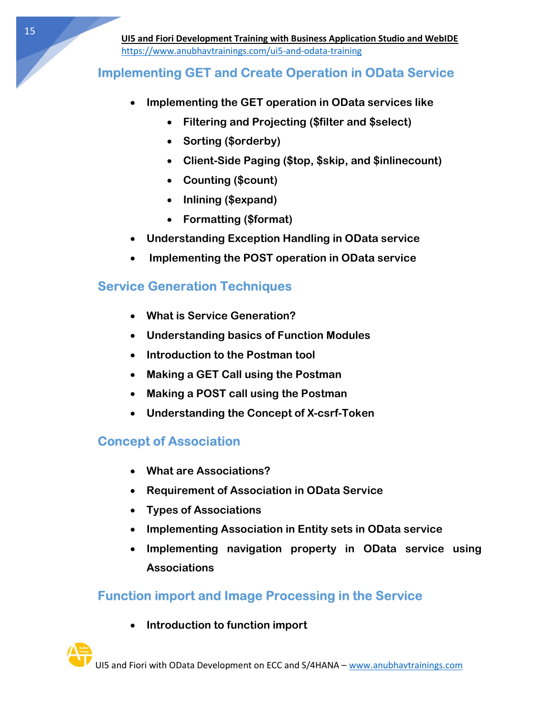### Implementing GET and Create Operation in OData Service

- Implementing the GET operation in OData services like
	- Filtering and Projecting (\$filter and \$select)
	- Sorting (\$orderby)
	- Client-Side Paging (\$top, \$skip, and \$inlinecount)
	- Counting (\$count)
	- Inlining (\$expand)
	- Formatting (\$format)
- Understanding Exception Handling in OData service
- Implementing the POST operation in OData service

### Service Generation Techniques

- What is Service Generation?
- Understanding basics of Function Modules
- Introduction to the Postman tool
- Making a GET Call using the Postman
- Making a POST call using the Postman
- Understanding the Concept of X-csrf-Token

# Concept of Association

- What are Associations?
- Requirement of Association in OData Service
- Types of Associations
- Implementing Association in Entity sets in OData service
- Implementing navigation property in OData service using **Associations**

### Function import and Image Processing in the Service

• Introduction to function import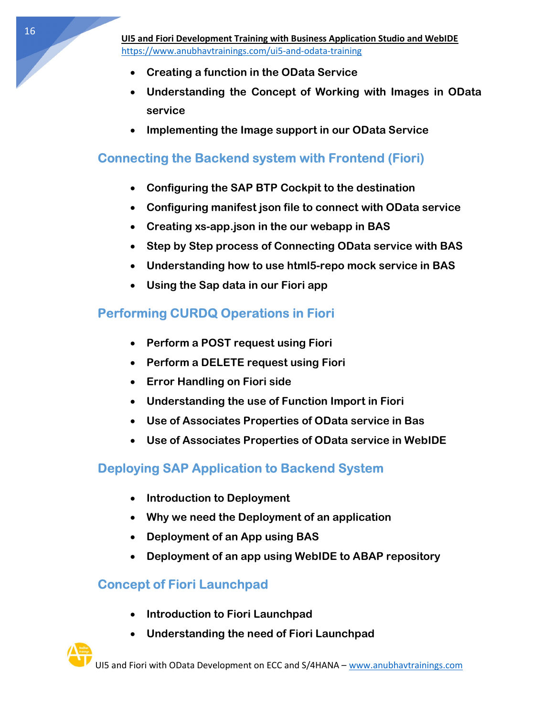- Creating a function in the OData Service
- Understanding the Concept of Working with Images in OData service
- Implementing the Image support in our OData Service

### Connecting the Backend system with Frontend (Fiori)

- Configuring the SAP BTP Cockpit to the destination
- Configuring manifest json file to connect with OData service
- Creating xs-app.json in the our webapp in BAS
- Step by Step process of Connecting OData service with BAS
- Understanding how to use html5-repo mock service in BAS
- Using the Sap data in our Fiori app

### Performing CURDQ Operations in Fiori

- Perform a POST request using Fiori
- Perform a DELETE request using Fiori
- Error Handling on Fiori side
- Understanding the use of Function Import in Fiori
- Use of Associates Properties of OData service in Bas
- Use of Associates Properties of OData service in WebIDE

### Deploying SAP Application to Backend System

- Introduction to Deployment
- Why we need the Deployment of an application
- Deployment of an App using BAS
- Deployment of an app using WebIDE to ABAP repository

### Concept of Fiori Launchpad

- Introduction to Fiori Launchpad
- Understanding the need of Fiori Launchpad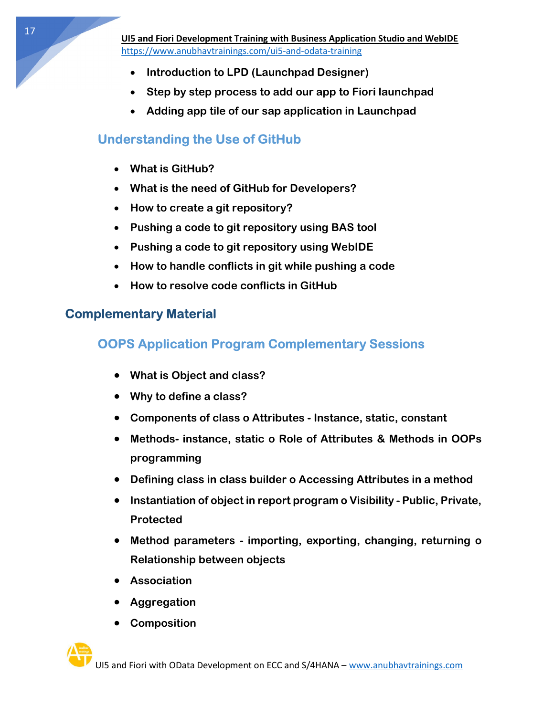- Introduction to LPD (Launchpad Designer)
- Step by step process to add our app to Fiori launchpad
- Adding app tile of our sap application in Launchpad

### Understanding the Use of GitHub

- What is GitHub?
- What is the need of GitHub for Developers?
- How to create a git repository?
- Pushing a code to git repository using BAS tool
- Pushing a code to git repository using WebIDE
- How to handle conflicts in git while pushing a code
- How to resolve code conflicts in GitHub

#### Complementary Material

### OOPS Application Program Complementary Sessions

- What is Object and class?
- Why to define a class?
- Components of class o Attributes Instance, static, constant
- Methods- instance, static o Role of Attributes & Methods in OOPs programming
- Defining class in class builder o Accessing Attributes in a method
- Instantiation of object in report program o Visibility Public, Private, Protected
- Method parameters importing, exporting, changing, returning o Relationship between objects
- Association
- Aggregation
- Composition